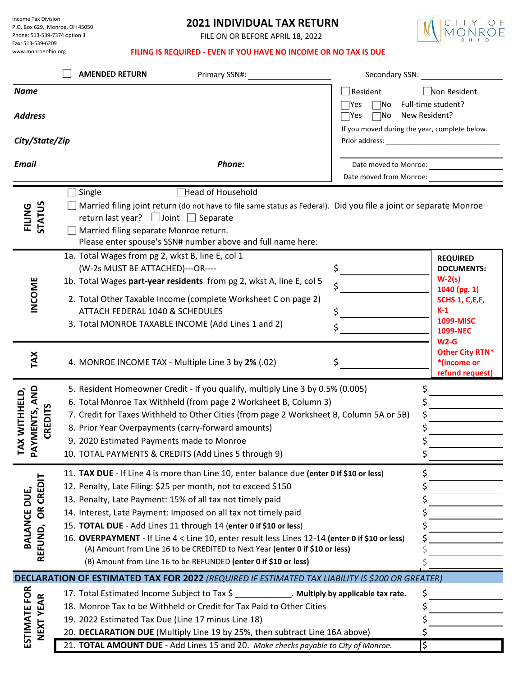Income Tax Division P.O. Box 629, Monroe, OH 45050 Phone: 513-539-7374 option 3 Fax: 513-539-6209 www.monroeohio.org

## **2021 INDIVIDUAL TAX RETURN**

FILE ON OR BEFORE APRIL 18, 2022



## **FILING IS REQUIRED - EVEN IF YOU HAVE NO INCOME OR NO TAX IS DUE**

|                                                                 | <b>AMENDED RETURN</b><br>Primary SSN#:                                                                                                                                                                                                                                                                                                                                                                                                                                                                                                                                                                                | Secondary SSN:                                                                                                                                             |                                                                                                                                |  |
|-----------------------------------------------------------------|-----------------------------------------------------------------------------------------------------------------------------------------------------------------------------------------------------------------------------------------------------------------------------------------------------------------------------------------------------------------------------------------------------------------------------------------------------------------------------------------------------------------------------------------------------------------------------------------------------------------------|------------------------------------------------------------------------------------------------------------------------------------------------------------|--------------------------------------------------------------------------------------------------------------------------------|--|
| <b>Name</b><br><b>Address</b><br>City/State/Zip<br><b>Email</b> | Phone:                                                                                                                                                                                                                                                                                                                                                                                                                                                                                                                                                                                                                | $\Box$ Resident<br>$\exists$ Yes<br>Mo]<br>New Resident?<br>$\exists$ Yes<br>∣No<br>If you moved during the year, complete below.<br>Date moved to Monroe: | Non Resident<br>Full-time student?                                                                                             |  |
|                                                                 |                                                                                                                                                                                                                                                                                                                                                                                                                                                                                                                                                                                                                       | Date moved from Monroe:                                                                                                                                    |                                                                                                                                |  |
| <b>STATUS</b><br>FILING                                         | Single<br>Head of Household<br>Married filing joint return (do not have to file same status as Federal). Did you file a joint or separate Monroe<br>return last year? $\Box$ Joint $\Box$ Separate<br>Married filing separate Monroe return.<br>Please enter spouse's SSN# number above and full name here:                                                                                                                                                                                                                                                                                                           |                                                                                                                                                            |                                                                                                                                |  |
| INCOME                                                          | 1a. Total Wages from pg 2, wkst B, line E, col 1<br>(W-2s MUST BE ATTACHED)---OR----<br>1b. Total Wages part-year residents from pg 2, wkst A, line E, col 5<br>2. Total Other Taxable Income (complete Worksheet C on page 2)<br>ATTACH FEDERAL 1040 & SCHEDULES<br>3. Total MONROE TAXABLE INCOME (Add Lines 1 and 2)                                                                                                                                                                                                                                                                                               | \$<br>\$<br>\$<br>\$                                                                                                                                       | <b>REQUIRED</b><br><b>DOCUMENTS:</b><br>$W-2(s)$<br>1040 (pg. 1)<br>SCHS 1, C,E,F,<br>$K-1$<br>1099-MISC<br>1099-NEC<br>$W2-G$ |  |
| TAX                                                             | 4. MONROE INCOME TAX - Multiple Line 3 by 2% (.02)                                                                                                                                                                                                                                                                                                                                                                                                                                                                                                                                                                    | \$                                                                                                                                                         | Other City RTN*<br>*(income or<br>refund request)                                                                              |  |
| AYMENTS, AND<br>TAX WITHHELD,<br><b>CREDITS</b><br><u> 준</u>    | 5. Resident Homeowner Credit - If you qualify, multiply Line 3 by 0.5% (0.005)<br>6. Total Monroe Tax Withheld (from page 2 Worksheet B, Column 3)<br>7. Credit for Taxes Withheld to Other Cities (from page 2 Worksheet B, Column 5A or 5B)<br>8. Prior Year Overpayments (carry-forward amounts)<br>9. 2020 Estimated Payments made to Monroe<br>10. TOTAL PAYMENTS & CREDITS (Add Lines 5 through 9)                                                                                                                                                                                                              | \$<br>\$                                                                                                                                                   |                                                                                                                                |  |
| CREDIT<br>BALANCE DUE,<br>$\tilde{6}$<br>EFUND,<br>≃            | 11. TAX DUE - If Line 4 is more than Line 10, enter balance due (enter 0 if \$10 or less)<br>12. Penalty, Late Filing: \$25 per month, not to exceed \$150<br>13. Penalty, Late Payment: 15% of all tax not timely paid<br>14. Interest, Late Payment: Imposed on all tax not timely paid<br>15. TOTAL DUE - Add Lines 11 through 14 (enter 0 if \$10 or less)<br>16. OVERPAYMENT - If Line 4 < Line 10, enter result less Lines 12-14 (enter 0 if \$10 or less)<br>(A) Amount from Line 16 to be CREDITED to Next Year (enter 0 if \$10 or less)<br>(B) Amount from Line 16 to be REFUNDED (enter 0 if \$10 or less) | \$                                                                                                                                                         |                                                                                                                                |  |
|                                                                 | <b>DECLARATION OF ESTIMATED TAX FOR 2022</b> (REQUIRED IF ESTIMATED TAX LIABILITY IS \$200 OR GREATER)                                                                                                                                                                                                                                                                                                                                                                                                                                                                                                                |                                                                                                                                                            |                                                                                                                                |  |
| ESTIMATE FOR<br>NEXT YEAR                                       | 17. Total Estimated Income Subject to Tax \$<br>. Multiply by applicable tax rate.<br>18. Monroe Tax to be Withheld or Credit for Tax Paid to Other Cities<br>19. 2022 Estimated Tax Due (Line 17 minus Line 18)<br>20. DECLARATION DUE (Multiply Line 19 by 25%, then subtract Line 16A above)                                                                                                                                                                                                                                                                                                                       | \$                                                                                                                                                         |                                                                                                                                |  |
|                                                                 | 21. TOTAL AMOUNT DUE - Add Lines 15 and 20. Make checks payable to City of Monroe.                                                                                                                                                                                                                                                                                                                                                                                                                                                                                                                                    | \$                                                                                                                                                         |                                                                                                                                |  |